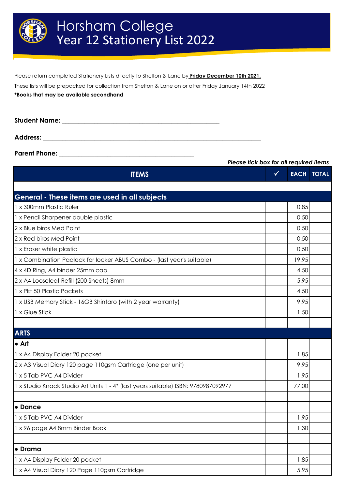

Please return completed Stationery Lists directly to Shelton & Lane by **Friday December 10th 2021.**

These lists will be prepacked for collection from Shelton & Lane on or after Friday January 14th 2022

**\*Books that may be available secondhand**

| <b>Student Name:</b> |  |
|----------------------|--|
|                      |  |
| <b>Address:</b>      |  |

**Parent Phone: \_\_\_\_\_\_\_\_\_\_\_\_\_\_\_\_\_\_\_\_\_\_\_\_\_\_\_\_\_\_\_\_\_\_\_\_\_\_\_\_\_\_**

*Please tick box for all required items*

| <b>ITEMS</b>                                                                       | $\sqrt{}$ |       | <b>EACH TOTAL</b> |
|------------------------------------------------------------------------------------|-----------|-------|-------------------|
|                                                                                    |           |       |                   |
| General - These items are used in all subjects                                     |           |       |                   |
| 1 x 300mm Plastic Ruler                                                            |           | 0.85  |                   |
| 1 x Pencil Sharpener double plastic                                                |           | 0.50  |                   |
| 2 x Blue biros Med Point                                                           |           | 0.50  |                   |
| 2 x Red biros Med Point                                                            |           | 0.50  |                   |
| 1 x Eraser white plastic                                                           |           | 0.50  |                   |
| 1 x Combination Padlock for locker ABUS Combo - (last year's suitable)             |           | 19.95 |                   |
| 4 x 4D Ring, A4 binder 25mm cap                                                    |           | 4.50  |                   |
| 2 x A4 Looseleaf Refill (200 Sheets) 8mm                                           |           | 5.95  |                   |
| 1 x Pkt 50 Plastic Pockets                                                         |           | 4.50  |                   |
| 1 x USB Memory Stick - 16GB Shintaro (with 2 year warranty)                        |           | 9.95  |                   |
| 1 x Glue Stick                                                                     |           | 1.50  |                   |
|                                                                                    |           |       |                   |
| <b>ARTS</b>                                                                        |           |       |                   |
| $\bullet$ Art                                                                      |           |       |                   |
| 1 x A4 Display Folder 20 pocket                                                    |           | 1.85  |                   |
| 2 x A3 Visual Diary 120 page 110gsm Cartridge (one per unit)                       |           | 9.95  |                   |
| 1 x 5 Tab PVC A4 Divider                                                           |           | 1.95  |                   |
| 1 x Studio Knack Studio Art Units 1 - 4* (last years suitable) ISBN: 9780987092977 |           | 77.00 |                   |
|                                                                                    |           |       |                   |
| • Dance                                                                            |           |       |                   |
| 1 x 5 Tab PVC A4 Divider                                                           |           | 1.95  |                   |
| 1 x 96 page A4 8mm Binder Book                                                     |           | 1.30  |                   |
|                                                                                    |           |       |                   |
| • Drama                                                                            |           |       |                   |
| 1 x A4 Display Folder 20 pocket                                                    |           | 1.85  |                   |
| 1 x A4 Visual Diary 120 Page 110gsm Cartridge                                      |           | 5.95  |                   |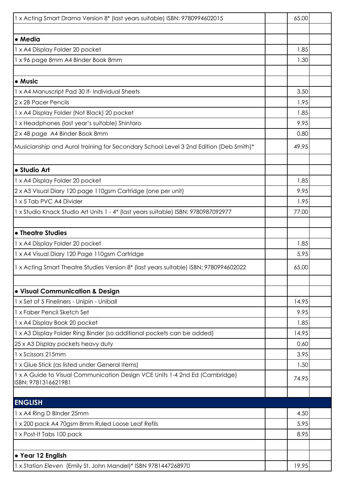| 1 x Acting Smart Drama Version 8* (last years suitable) ISBN: 9780994602015                        | 65.00 |  |
|----------------------------------------------------------------------------------------------------|-------|--|
|                                                                                                    |       |  |
| • Media                                                                                            |       |  |
| 1 x A4 Display Folder 20 pocket                                                                    |       |  |
| 1 x 96 page 8mm A4 Binder Book 8mm                                                                 | 1.30  |  |
|                                                                                                    |       |  |
| • Music                                                                                            |       |  |
| 1 x A4 Manuscript Pad 30 If- Individual Sheets                                                     | 3.50  |  |
| 2 x 2B Pacer Pencils                                                                               | 1.95  |  |
| 1 x A4 Display Folder (Not Black) 20 pocket                                                        | 1.85  |  |
| 1 x Headphones (last year's suitable) Shintaro                                                     | 9.95  |  |
| 2 x 48 page A4 Binder Book 8mm                                                                     | 0.80  |  |
| Musicianship and Aural training for Secondary School Level 3 2nd Edition (Deb Smith)*              | 49.95 |  |
|                                                                                                    |       |  |
| · Studio Art                                                                                       |       |  |
| 1 x A4 Display Folder 20 pocket                                                                    | 1.85  |  |
| 2 x A3 Visual Diary 120 page 110gsm Cartridge (one per unit)                                       | 9.95  |  |
| 1 x 5 Tab PVC A4 Divider                                                                           | 1.95  |  |
| 1 x Studio Knack Studio Art Units 1 - 4* (last years suitable) ISBN: 9780987092977                 | 77.00 |  |
|                                                                                                    |       |  |
| • Theatre Studies                                                                                  |       |  |
| 1 x A4 Display Folder 20 pocket                                                                    | 1.85  |  |
| 1 x A4 Visual Diary 120 Page 110gsm Cartridge                                                      | 5.95  |  |
| 1 x Acting Smart Theatre Studies Version 8* (last years suitable) ISBN: 9780994602022              | 65.00 |  |
|                                                                                                    |       |  |
| • Visual Communication & Design                                                                    |       |  |
| 1 x Set of 5 Fineliners - Unipin - Uniball                                                         | 14.95 |  |
| 1 x Faber Pencil Sketch Set                                                                        | 9.95  |  |
| 1 x A4 Display Book 20 pocket                                                                      | 1.85  |  |
| 1 x A3 Display Folder Ring Binder (so additional pockets can be added)                             | 14.95 |  |
| 25 x A3 Display pockets heavy duty                                                                 | 0.60  |  |
| 1 x Scissors 215mm                                                                                 | 3.95  |  |
| 1 x Glue Stick (as listed under General Items)                                                     | 1.50  |  |
| 1 x A Guide to Visual Communication Design VCE Units 1-4 2nd Ed (Cambridge)<br>ISBN: 9781316621981 | 74.95 |  |
|                                                                                                    |       |  |
| <b>ENGLISH</b>                                                                                     |       |  |
| 1 x A4 Ring D Binder 25mm                                                                          | 4.50  |  |
| 1 x 200 pack A4 70gsm 8mm Ruled Loose Leaf Refils                                                  | 5.95  |  |
| 1 x Post-It Tabs 100 pack                                                                          | 8.95  |  |
|                                                                                                    |       |  |
| • Year 12 English                                                                                  |       |  |
| 1 x Station Eleven (Emily St. John Mandel)* ISBN 9781447268970                                     | 19.95 |  |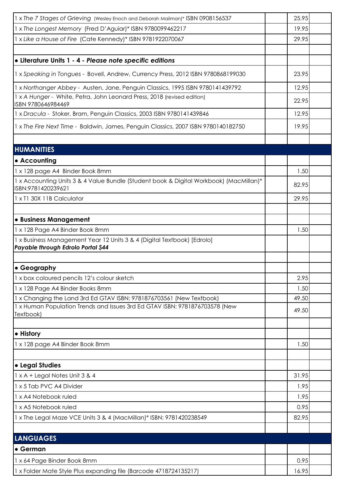| 1 x The 7 Stages of Grieving (Wesley Enoch and Deborah Mailman)* ISBN 0908156537                             | 25.95 |  |
|--------------------------------------------------------------------------------------------------------------|-------|--|
| 1 x The Longest Memory (Fred D'Aguiar)* ISBN 9780099462217                                                   | 19.95 |  |
| 1 x Like a House of Fire (Cate Kennedy)* ISBN 9781922070067                                                  | 29.95 |  |
|                                                                                                              |       |  |
| · Literature Units 1 - 4 - Please note specific editions                                                     |       |  |
| 1 x Speaking in Tongues - Bovell, Andrew, Currency Press, 2012 ISBN 9780868199030                            | 23.95 |  |
| 1 x Northanger Abbey - Austen, Jane, Penguin Classics, 1995 ISBN 9780141439792                               | 12.95 |  |
| 1 x A Hunger - White, Petra, John Leonard Press, 2018 (revised edition)<br>ISBN 9780646984469                | 22.95 |  |
| 1 x Dracula - Stoker, Bram, Penguin Classics, 2003 ISBN 9780141439846                                        | 12.95 |  |
| 1 x The Fire Next Time - Baldwin, James, Penguin Classics, 2007 ISBN 9780140182750                           | 19.95 |  |
|                                                                                                              |       |  |
| <b>HUMANITIES</b>                                                                                            |       |  |
| • Accounting                                                                                                 |       |  |
| 1 x 128 page A4 Binder Book 8mm                                                                              | 1.50  |  |
| 1 x Accounting Units 3 & 4 Value Bundle (Student book & Digital Workbook) (MacMillan)*<br>ISBN:9781420239621 | 82.95 |  |
| 1 x T1 30X 11B Calculator                                                                                    | 29.95 |  |
|                                                                                                              |       |  |
| <b>.</b> Business Management                                                                                 |       |  |
| 1 x 128 Page A4 Binder Book 8mm                                                                              | 1.50  |  |
| 1 x Business Management Year 12 Units 3 & 4 (Digital Textbook) [Edrolo]                                      |       |  |
| Payable through Edrolo Portal \$44                                                                           |       |  |
| • Geography                                                                                                  |       |  |
| 1 x box coloured pencils 12's colour sketch                                                                  | 2.95  |  |
| 1 x 128 Page A4 Binder Books 8mm                                                                             | 1.50  |  |
| 1 x Changing the Land 3rd Ed GTAV ISBN: 9781876703561 (New Textbook)                                         | 49.50 |  |
| 1 x Human Population Trends and Issues 3rd Ed GTAV ISBN: 9781876703578 (New                                  |       |  |
| Textbook)                                                                                                    | 49.50 |  |
| • History                                                                                                    |       |  |
| 1 x 128 page A4 Binder Book 8mm                                                                              | 1.50  |  |
|                                                                                                              |       |  |
| • Legal Studies                                                                                              |       |  |
| 1 x A + Legal Notes Unit 3 & 4                                                                               | 31.95 |  |
| 1 x 5 Tab PVC A4 Divider                                                                                     | 1.95  |  |
| 1 x A4 Notebook ruled                                                                                        | 1.95  |  |
| 1 x A5 Notebook ruled                                                                                        | 0.95  |  |
| 1 x The Legal Maze VCE Units 3 & 4 (MacMillan)* ISBN: 9781420238549                                          | 82.95 |  |
|                                                                                                              |       |  |
|                                                                                                              |       |  |
|                                                                                                              |       |  |
| <b>LANGUAGES</b><br>• German                                                                                 |       |  |
| 1 x 64 Page Binder Book 8mm                                                                                  | 0.95  |  |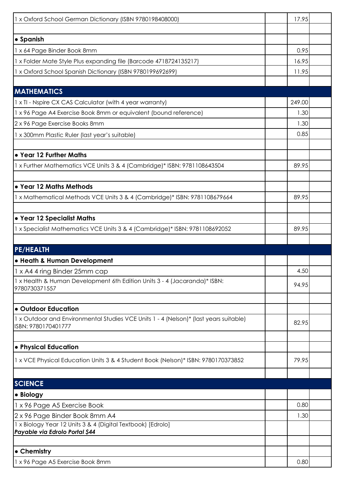| 1 x Oxford School German Dictionary (ISBN 9780198408000)                                      | 17.95  |  |
|-----------------------------------------------------------------------------------------------|--------|--|
|                                                                                               |        |  |
| • Spanish                                                                                     |        |  |
| 1 x 64 Page Binder Book 8mm                                                                   | 0.95   |  |
| 1 x Folder Mate Style Plus expanding file (Barcode 4718724135217)                             | 16.95  |  |
| 1 x Oxford School Spanish Dictionary (ISBN 9780199692699)                                     | 11.95  |  |
|                                                                                               |        |  |
| <b>MATHEMATICS</b>                                                                            |        |  |
| 1 x TI - Nspire CX CAS Calculator (with 4 year warranty)                                      | 249.00 |  |
| 1 x 96 Page A4 Exercise Book 8mm or equivalent (bound reference)                              | 1.30   |  |
| 2 x 96 Page Exercise Books 8mm                                                                | 1.30   |  |
| 1 x 300mm Plastic Ruler (last year's suitable)                                                | 0.85   |  |
|                                                                                               |        |  |
| . Year 12 Further Maths                                                                       |        |  |
| 1 x Further Mathematics VCE Units 3 & 4 (Cambridge)* ISBN: 9781108643504                      | 89.95  |  |
|                                                                                               |        |  |
| • Year 12 Maths Methods                                                                       |        |  |
| 1 x Mathematical Methods VCE Units 3 & 4 (Cambridge)* ISBN: 9781108679664                     | 89.95  |  |
|                                                                                               |        |  |
| • Year 12 Specialist Maths                                                                    |        |  |
| 1 x Specialist Mathematics VCE Units 3 & 4 (Cambridge)* ISBN: 9781108692052                   | 89.95  |  |
|                                                                                               |        |  |
| <b>PE/HEALTH</b>                                                                              |        |  |
| • Heath & Human Development                                                                   |        |  |
| 1 x A4 4 ring Binder 25mm cap                                                                 | 4.50   |  |
| 1 x Health & Human Development 6th Edition Units 3 - 4 (Jacaranda)* ISBN:<br>9780730371557    | 94.95  |  |
|                                                                                               |        |  |
| • Outdoor Education                                                                           |        |  |
| 1 x Outdoor and Environmental Studies VCE Units 1 - 4 (Nelson)* (last years suitable)         |        |  |
| ISBN: 9780170401777                                                                           | 82.95  |  |
|                                                                                               |        |  |
| • Physical Education                                                                          |        |  |
| 1 x VCE Physical Education Units 3 & 4 Student Book (Nelson)* ISBN: 9780170373852             | 79.95  |  |
|                                                                                               |        |  |
| <b>SCIENCE</b>                                                                                |        |  |
|                                                                                               |        |  |
| • Biology                                                                                     | 0.80   |  |
| 1 x 96 Page A5 Exercise Book                                                                  | 1.30   |  |
| 2 x 96 Page Binder Book 8mm A4<br>1 x Biology Year 12 Units 3 & 4 (Digital Textbook) [Edrolo] |        |  |
| Payable via Edrolo Portal \$44                                                                |        |  |
|                                                                                               |        |  |
| • Chemistry                                                                                   |        |  |
| 1 x 96 Page A5 Exercise Book 8mm                                                              | 0.80   |  |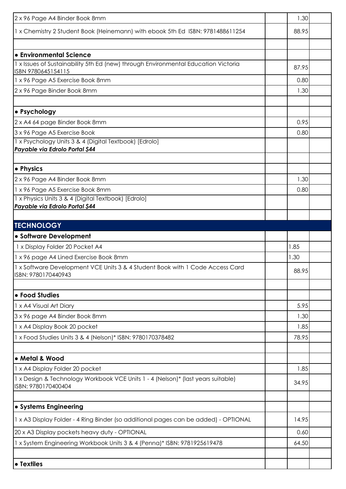| 1 x Chemistry 2 Student Book (Heinemann) with ebook 5th Ed ISBN: 9781488611254                           | 1.30  |  |
|----------------------------------------------------------------------------------------------------------|-------|--|
|                                                                                                          | 88.95 |  |
|                                                                                                          |       |  |
| <b>Le</b> Environmental Science                                                                          |       |  |
| 1 x Issues of Sustainability 5th Ed (new) through Environmental Education Victoria<br>ISBN 9780645154115 | 87.95 |  |
| 1 x 96 Page A5 Exercise Book 8mm                                                                         | 0.80  |  |
| 2 x 96 Page Binder Book 8mm                                                                              | 1.30  |  |
| • Psychology                                                                                             |       |  |
| 2 x A4 64 page Binder Book 8mm                                                                           | 0.95  |  |
| 3 x 96 Page A5 Exercise Book                                                                             | 0.80  |  |
| 1 x Psychology Units 3 & 4 (Digital Textbook) [Edrolo]<br>Payable via Edrolo Portal \$44                 |       |  |
| <b>•</b> Physics                                                                                         |       |  |
| 2 x 96 Page A4 Binder Book 8mm                                                                           | 1.30  |  |
| 1 x 96 Page A5 Exercise Book 8mm                                                                         | 0.80  |  |
| 1 x Physics Units 3 & 4 (Digital Textbook) [Edrolo]                                                      |       |  |
| Payable via Edrolo Portal \$44                                                                           |       |  |
| <b>TECHNOLOGY</b>                                                                                        |       |  |
| • Software Development                                                                                   |       |  |
| 1 x Display Folder 20 Pocket A4                                                                          | 1.85  |  |
|                                                                                                          |       |  |
| 1 x 96 page A4 Lined Exercise Book 8mm                                                                   | 1.30  |  |
| 1 x Software Development VCE Units 3 & 4 Student Book with 1 Code Access Card<br>ISBN: 9780170440943     | 88.95 |  |
| • Food Studies                                                                                           |       |  |
| 1 x A4 Visual Art Diary                                                                                  | 5.95  |  |
| 3 x 96 page A4 Binder Book 8mm                                                                           | 1.30  |  |
| 1 x A4 Display Book 20 pocket                                                                            | 1.85  |  |
| 1 x Food Studies Units 3 & 4 (Nelson)* ISBN: 9780170378482                                               | 78.95 |  |
|                                                                                                          |       |  |
| • Metal & Wood                                                                                           |       |  |
| 1 x A4 Display Folder 20 pocket                                                                          | 1.85  |  |
| 1 x Design & Technology Workbook VCE Units 1 - 4 (Nelson)* (last years suitable)<br>ISBN: 9780170400404  | 34.95 |  |
|                                                                                                          |       |  |
| <b>.</b> Systems Engineering                                                                             |       |  |
| 1 x A3 Display Folder - 4 Ring Binder (so additional pages can be added) - OPTIONAL                      | 14.95 |  |
| 20 x A3 Display pockets heavy duty - OPTIONAL                                                            | 0.60  |  |
| 1 x System Engineering Workbook Units 3 & 4 (Penna)* ISBN: 9781925619478                                 | 64.50 |  |